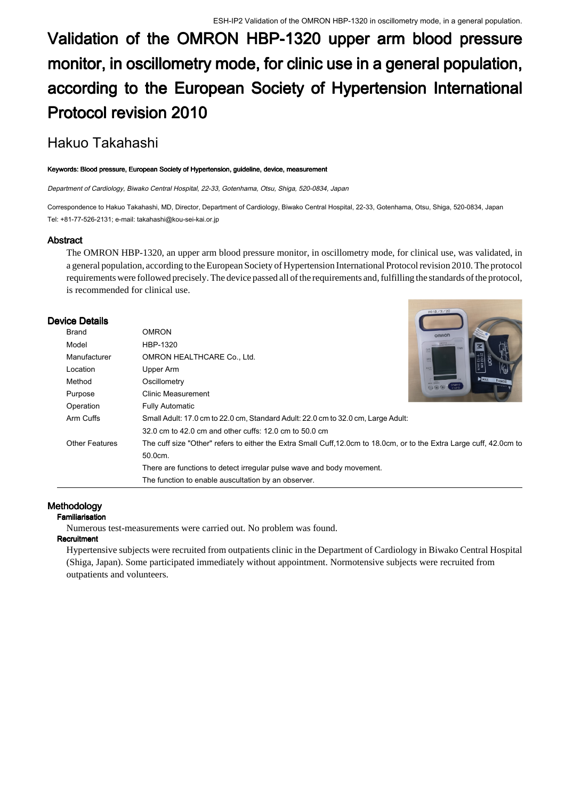# **Validation of the OMRON HBP-1320 upper arm blood pressure monitor, in oscillometry mode, for clinic use in a general population, according to the European Society of Hypertension International Protocol revision 2010**

## Hakuo Takahashi

#### **Keywords: Blood pressure, European Society of Hypertension, guideline, device, measurement**

*Department of Cardiology, Biwako Central Hospital, 22-33, Gotenhama, Otsu, Shiga, 520-0834, Japan*

Correspondence to Hakuo Takahashi, MD, Director, Department of Cardiology, Biwako Central Hospital, 22-33, Gotenhama, Otsu, Shiga, 520-0834, Japan Tel: +81-77-526-2131; e-mail: takahashi@kou-sei-kai.or.jp

#### **Abstract**

The OMRON HBP-1320, an upper arm blood pressure monitor, in oscillometry mode, for clinical use, was validated, in a general population, according to the European Society of Hypertension International Protocol revision 2010. The protocol requirements were followed precisely. The device passed all of the requirements and, fulfilling the standards of the protocol, is recommended for clinical use.

#### **Device Details**

| Brand                 | <b>OMRON</b>                                                                                                         | omRON                              |
|-----------------------|----------------------------------------------------------------------------------------------------------------------|------------------------------------|
| Model                 | HBP-1320                                                                                                             | <b>CANON</b>                       |
| Manufacturer          | OMRON HEALTHCARE Co., Ltd.                                                                                           |                                    |
| Location              | Upper Arm                                                                                                            | $\frac{32}{13}$ inch               |
| Method                | Oscillometry                                                                                                         | $\blacktriangleright$ MAX<br>RANGE |
| Purpose               | Clinic Measurement                                                                                                   |                                    |
| Operation             | <b>Fully Automatic</b>                                                                                               |                                    |
| Arm Cuffs             | Small Adult: 17.0 cm to 22.0 cm, Standard Adult: 22.0 cm to 32.0 cm, Large Adult:                                    |                                    |
|                       | 32.0 cm to 42.0 cm and other cuffs: 12.0 cm to 50.0 cm                                                               |                                    |
| <b>Other Features</b> | The cuff size "Other" refers to either the Extra Small Cuff, 12.0cm to 18.0cm, or to the Extra Large cuff, 42.0cm to |                                    |
|                       | 50.0cm.                                                                                                              |                                    |
|                       | There are functions to detect irregular pulse wave and body movement.                                                |                                    |
|                       | The function to enable auscultation by an observer.                                                                  |                                    |
|                       |                                                                                                                      |                                    |

## **Methodology**

#### **Familiarisation**

Numerous test-measurements were carried out. No problem was found.

## **Recruitment**

Hypertensive subjects were recruited from outpatients clinic in the Department of Cardiology in Biwako Central Hospital (Shiga, Japan). Some participated immediately without appointment. Normotensive subjects were recruited from outpatients and volunteers.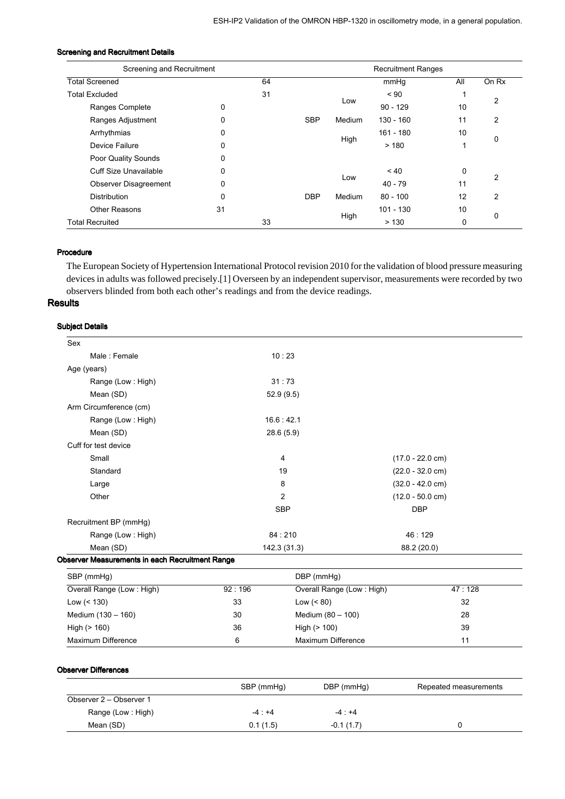| Screening and Recruitment |    |    |            | <b>Recruitment Ranges</b> |             |     |                |
|---------------------------|----|----|------------|---------------------------|-------------|-----|----------------|
| <b>Total Screened</b>     |    | 64 |            |                           | mmHq        | All | On Rx          |
| <b>Total Excluded</b>     | 31 |    | $~<$ 90    |                           |             |     |                |
| Ranges Complete           | 0  |    |            | Low                       | $90 - 129$  | 10  | $\overline{2}$ |
| Ranges Adjustment         | 0  |    | <b>SBP</b> | Medium                    | $130 - 160$ | 11  | 2              |
| Arrhythmias               | 0  |    |            |                           | $161 - 180$ | 10  | 0              |
| Device Failure            | 0  |    |            | High                      | >180        |     |                |
| Poor Quality Sounds       | 0  |    |            |                           |             |     |                |
| Cuff Size Unavailable     | 0  |    |            |                           | $~<$ 40     | 0   |                |
| Observer Disagreement     | 0  |    |            | Low                       | $40 - 79$   | 11  | $\overline{2}$ |
| <b>Distribution</b>       | 0  |    | <b>DBP</b> | Medium                    | $80 - 100$  | 12  | 2              |
| <b>Other Reasons</b>      | 31 |    |            |                           | $101 - 130$ | 10  |                |
| <b>Total Recruited</b>    |    | 33 |            | High<br>>130              | 0           | 0   |                |

## **Screening and Recruitment Details**

## **Procedure**

The European Society of Hypertension International Protocol revision 2010 for the validation of blood pressure measuring devices in adults was followed precisely.[1] Overseen by an independent supervisor, measurements were recorded by two observers blinded from both each other's readings and from the device readings.

## **Results**

#### **Subject Details**

| Sex                                             |        |                           |                    |        |  |
|-------------------------------------------------|--------|---------------------------|--------------------|--------|--|
| Male: Female                                    |        | 10:23                     |                    |        |  |
| Age (years)                                     |        |                           |                    |        |  |
| Range (Low: High)                               |        | 31:73                     |                    |        |  |
| Mean (SD)                                       |        | 52.9(9.5)                 |                    |        |  |
| Arm Circumference (cm)                          |        |                           |                    |        |  |
| Range (Low: High)                               |        | 16.6:42.1                 |                    |        |  |
| Mean (SD)                                       |        | 28.6 (5.9)                |                    |        |  |
| Cuff for test device                            |        |                           |                    |        |  |
| Small                                           |        | 4                         | $(17.0 - 22.0$ cm) |        |  |
| Standard                                        |        | 19                        | $(22.0 - 32.0$ cm) |        |  |
| Large                                           |        | 8                         | $(32.0 - 42.0$ cm) |        |  |
| Other                                           |        | 2                         | $(12.0 - 50.0$ cm) |        |  |
|                                                 |        | <b>SBP</b>                | <b>DBP</b>         |        |  |
| Recruitment BP (mmHg)                           |        |                           |                    |        |  |
| Range (Low: High)                               |        | 84:210                    | 46:129             |        |  |
| Mean (SD)                                       |        | 142.3 (31.3)              | 88.2 (20.0)        |        |  |
| Observer Measurements in each Recruitment Range |        |                           |                    |        |  |
| SBP (mmHg)                                      |        | DBP (mmHg)                |                    |        |  |
| Overall Range (Low: High)                       | 92:196 | Overall Range (Low: High) |                    | 47:128 |  |
| Low $(< 130)$                                   | 33     | Low $(< 80)$              |                    | 32     |  |
| Medium (130 - 160)                              | 30     | Medium (80 - 100)         |                    | 28     |  |
| High $(> 160)$                                  | 36     | High $(> 100)$            | 39                 |        |  |
| Maximum Difference                              | 6      | Maximum Difference        |                    | 11     |  |

#### **Observer Differences**

|                         | SBP (mmHg) | DBP (mmHg)<br>Repeated measurements |  |
|-------------------------|------------|-------------------------------------|--|
| Observer 2 – Observer 1 |            |                                     |  |
| Range (Low: High)       | $-4:+4$    | $-4:+4$                             |  |
| Mean (SD)               | 0.1(1.5)   | $-0.1(1.7)$                         |  |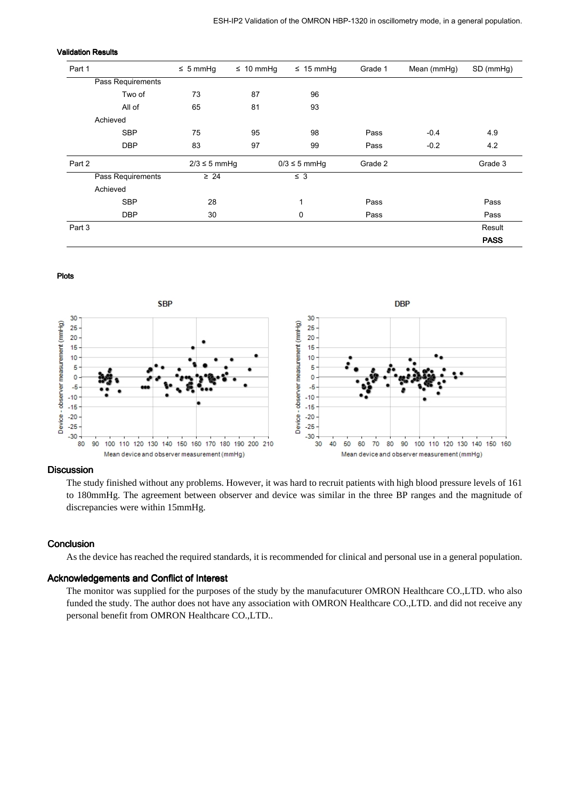| Part 1            | $\leq$ 5 mmHg     | $\leq 10$ mmHg | $\leq 15$ mmHg    | Grade 1 | Mean (mmHg) | SD (mmHg)   |
|-------------------|-------------------|----------------|-------------------|---------|-------------|-------------|
| Pass Requirements |                   |                |                   |         |             |             |
| Two of            | 73                | 87             | 96                |         |             |             |
| All of            | 65                | 81             | 93                |         |             |             |
| Achieved          |                   |                |                   |         |             |             |
| <b>SBP</b>        | 75                | 95             | 98                | Pass    | $-0.4$      | 4.9         |
| <b>DBP</b>        | 83                | 97             | 99                | Pass    | $-0.2$      | 4.2         |
| Part 2            | $2/3 \leq 5$ mmHg |                | $0/3 \leq 5$ mmHg | Grade 2 |             | Grade 3     |
| Pass Requirements | $\geq 24$         |                | $\leq$ 3          |         |             |             |
| Achieved          |                   |                |                   |         |             |             |
| <b>SBP</b>        | 28                |                | 1                 | Pass    |             | Pass        |
| <b>DBP</b>        | 30                |                | 0                 | Pass    |             | Pass        |
| Part 3            |                   |                |                   |         |             | Result      |
|                   |                   |                |                   |         |             | <b>PASS</b> |

#### **Validation Results**

#### **Plots**



#### **Discussion**

The study finished without any problems. However, it was hard to recruit patients with high blood pressure levels of 161 to 180mmHg. The agreement between observer and device was similar in the three BP ranges and the magnitude of discrepancies were within 15mmHg.

#### **Conclusion**

As the device has reached the required standards, it is recommended for clinical and personal use in a general population.

## **Acknowledgements and Conflict of Interest**

The monitor was supplied for the purposes of the study by the manufacuturer OMRON Healthcare CO.,LTD. who also funded the study. The author does not have any association with OMRON Healthcare CO.,LTD. and did not receive any personal benefit from OMRON Healthcare CO.,LTD..